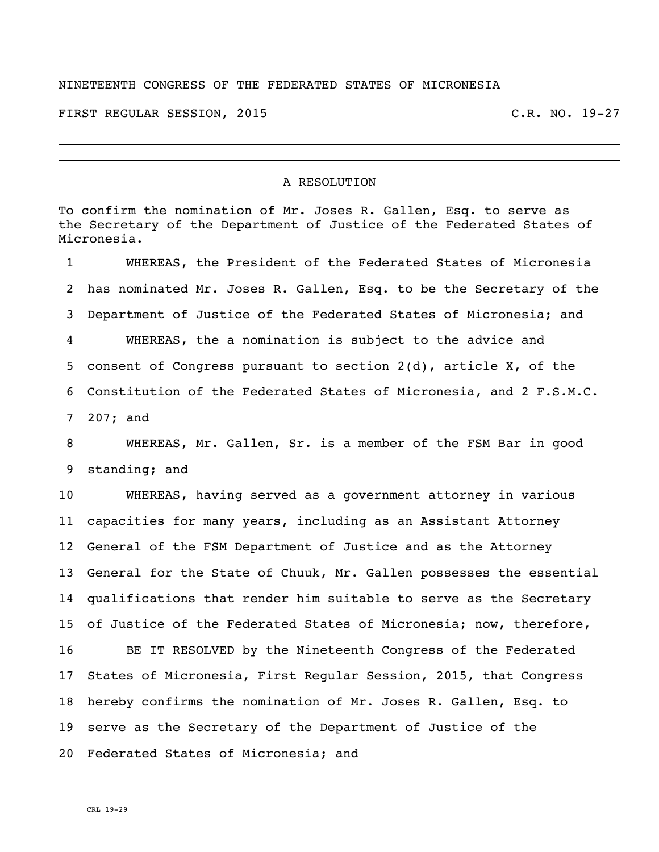## NINETEENTH CONGRESS OF THE FEDERATED STATES OF MICRONESIA

FIRST REGULAR SESSION, 2015 C.R. NO. 19-27

## A RESOLUTION

To confirm the nomination of Mr. Joses R. Gallen, Esq. to serve as the Secretary of the Department of Justice of the Federated States of Micronesia.

 WHEREAS, the President of the Federated States of Micronesia has nominated Mr. Joses R. Gallen, Esq. to be the Secretary of the Department of Justice of the Federated States of Micronesia; and WHEREAS, the a nomination is subject to the advice and consent of Congress pursuant to section 2(d), article X, of the Constitution of the Federated States of Micronesia, and 2 F.S.M.C. 207; and

 WHEREAS, Mr. Gallen, Sr. is a member of the FSM Bar in good standing; and

 WHEREAS, having served as a government attorney in various capacities for many years, including as an Assistant Attorney General of the FSM Department of Justice and as the Attorney General for the State of Chuuk, Mr. Gallen possesses the essential qualifications that render him suitable to serve as the Secretary of Justice of the Federated States of Micronesia; now, therefore,

 BE IT RESOLVED by the Nineteenth Congress of the Federated States of Micronesia, First Regular Session, 2015, that Congress hereby confirms the nomination of Mr. Joses R. Gallen, Esq. to serve as the Secretary of the Department of Justice of the Federated States of Micronesia; and

CRL 19-29